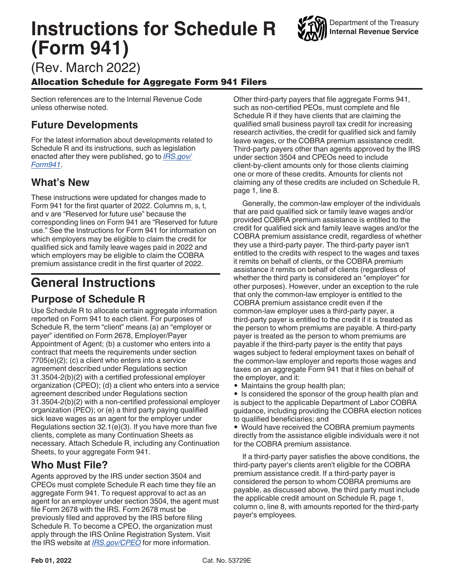# **Instructions for Schedule R (Form 941)**

(Rev. March 2022)

### Allocation Schedule for Aggregate Form 941 Filers

Section references are to the Internal Revenue Code unless otherwise noted.

## **Future Developments**

For the latest information about developments related to Schedule R and its instructions, such as legislation enacted after they were published, go to *[IRS.gov/](https://www.irs.gov/form941) [Form941](https://www.irs.gov/form941)*.

## **What's New**

These instructions were updated for changes made to Form 941 for the first quarter of 2022. Columns m, s, t, and v are "Reserved for future use" because the corresponding lines on Form 941 are "Reserved for future use." See the Instructions for Form 941 for information on which employers may be eligible to claim the credit for qualified sick and family leave wages paid in 2022 and which employers may be eligible to claim the COBRA premium assistance credit in the first quarter of 2022.

## **General Instructions**

## **Purpose of Schedule R**

Use Schedule R to allocate certain aggregate information reported on Form 941 to each client. For purposes of Schedule R, the term "client" means (a) an "employer or payer" identified on Form 2678, Employer/Payer Appointment of Agent; (b) a customer who enters into a contract that meets the requirements under section 7705(e)(2); (c) a client who enters into a service agreement described under Regulations section 31.3504-2(b)(2) with a certified professional employer organization (CPEO); (d) a client who enters into a service agreement described under Regulations section 31.3504-2(b)(2) with a non-certified professional employer organization (PEO); or (e) a third party paying qualified sick leave wages as an agent for the employer under Regulations section 32.1(e)(3). If you have more than five clients, complete as many Continuation Sheets as necessary. Attach Schedule R, including any Continuation Sheets, to your aggregate Form 941.

## **Who Must File?**

Agents approved by the IRS under section 3504 and CPEOs must complete Schedule R each time they file an aggregate Form 941. To request approval to act as an agent for an employer under section 3504, the agent must file Form 2678 with the IRS. Form 2678 must be previously filed and approved by the IRS before filing Schedule R. To become a CPEO, the organization must apply through the IRS Online Registration System. Visit the IRS website at *[IRS.gov/CPEO](https://www.irs.gov/cpeo)* for more information.

Other third-party payers that file aggregate Forms 941, such as non-certified PEOs, must complete and file Schedule R if they have clients that are claiming the qualified small business payroll tax credit for increasing research activities, the credit for qualified sick and family leave wages, or the COBRA premium assistance credit. Third-party payers other than agents approved by the IRS under section 3504 and CPEOs need to include client-by-client amounts only for those clients claiming one or more of these credits. Amounts for clients not claiming any of these credits are included on Schedule R, page 1, line 8.

Generally, the common-law employer of the individuals that are paid qualified sick or family leave wages and/or provided COBRA premium assistance is entitled to the credit for qualified sick and family leave wages and/or the COBRA premium assistance credit, regardless of whether they use a third-party payer. The third-party payer isn't entitled to the credits with respect to the wages and taxes it remits on behalf of clients, or the COBRA premium assistance it remits on behalf of clients (regardless of whether the third party is considered an "employer" for other purposes). However, under an exception to the rule that only the common-law employer is entitled to the COBRA premium assistance credit even if the common-law employer uses a third-party payer, a third-party payer is entitled to the credit if it is treated as the person to whom premiums are payable. A third-party payer is treated as the person to whom premiums are payable if the third-party payer is the entity that pays wages subject to federal employment taxes on behalf of the common-law employer and reports those wages and taxes on an aggregate Form 941 that it files on behalf of the employer, and it:

• Maintains the group health plan;

• Is considered the sponsor of the group health plan and is subject to the applicable Department of Labor COBRA guidance, including providing the COBRA election notices to qualified beneficiaries; and

• Would have received the COBRA premium payments directly from the assistance eligible individuals were it not for the COBRA premium assistance.

If a third-party payer satisfies the above conditions, the third-party payer's clients aren't eligible for the COBRA premium assistance credit. If a third-party payer is considered the person to whom COBRA premiums are payable, as discussed above, the third party must include the applicable credit amount on Schedule R, page 1, column o, line 8, with amounts reported for the third-party payer's employees.

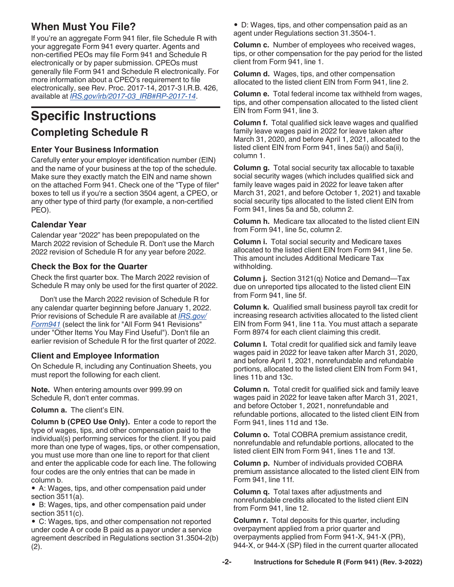## <span id="page-1-0"></span>**When Must You File?**

If you're an aggregate Form 941 filer, file Schedule R with your aggregate Form 941 every quarter. Agents and non-certified PEOs may file Form 941 and Schedule R electronically or by paper submission. CPEOs must generally file Form 941 and Schedule R electronically. For more information about a CPEO's requirement to file electronically, see Rev. Proc. 2017-14, 2017-3 I.R.B. 426, available at *[IRS.gov/irb/2017-03\\_IRB#RP-2017-14](https://www.irs.gov/irb/2017-03_IRB#RP-2017-14)*.

# **Specific Instructions**

### **Completing Schedule R**

### **Enter Your Business Information**

Carefully enter your employer identification number (EIN) and the name of your business at the top of the schedule. Make sure they exactly match the EIN and name shown on the attached Form 941. Check one of the "Type of filer" boxes to tell us if you're a section 3504 agent, a CPEO, or any other type of third party (for example, a non-certified PEO).

### **Calendar Year**

Calendar year "2022" has been prepopulated on the March 2022 revision of Schedule R. Don't use the March 2022 revision of Schedule R for any year before 2022.

### **Check the Box for the Quarter**

Check the first quarter box. The March 2022 revision of Schedule R may only be used for the first quarter of 2022.

Don't use the March 2022 revision of Schedule R for any calendar quarter beginning before January 1, 2022. Prior revisions of Schedule R are available at *[IRS.gov/](https://www.irs.gov/Form941) [Form941](https://www.irs.gov/Form941)* (select the link for "All Form 941 Revisions" under "Other Items You May Find Useful"). Don't file an earlier revision of Schedule R for the first quarter of 2022.

### **Client and Employee Information**

On Schedule R, including any Continuation Sheets, you must report the following for each client.

**Note.** When entering amounts over 999.99 on Schedule R, don't enter commas.

**Column a.** The client's EIN.

**Column b (CPEO Use Only).** Enter a code to report the type of wages, tips, and other compensation paid to the individual(s) performing services for the client. If you paid more than one type of wages, tips, or other compensation, you must use more than one line to report for that client and enter the applicable code for each line. The following four codes are the only entries that can be made in column b.

• A: Wages, tips, and other compensation paid under section 3511(a).

• B: Wages, tips, and other compensation paid under section 3511(c).

• C: Wages, tips, and other compensation not reported under code A or code B paid as a payor under a service agreement described in Regulations section 31.3504-2(b) (2).

• D: Wages, tips, and other compensation paid as an agent under Regulations section 31.3504-1.

**Column c.** Number of employees who received wages, tips, or other compensation for the pay period for the listed client from Form 941, line 1.

**Column d.** Wages, tips, and other compensation allocated to the listed client EIN from Form 941, line 2.

**Column e.** Total federal income tax withheld from wages, tips, and other compensation allocated to the listed client EIN from Form 941, line 3.

**Column f.** Total qualified sick leave wages and qualified family leave wages paid in 2022 for leave taken after March 31, 2020, and before April 1, 2021, allocated to the listed client EIN from Form 941, lines 5a(i) and 5a(ii), column 1.

**Column g.** Total social security tax allocable to taxable social security wages (which includes qualified sick and family leave wages paid in 2022 for leave taken after March 31, 2021, and before October 1, 2021) and taxable social security tips allocated to the listed client EIN from Form 941, lines 5a and 5b, column 2.

**Column h.** Medicare tax allocated to the listed client EIN from Form 941, line 5c, column 2.

**Column i.** Total social security and Medicare taxes allocated to the listed client EIN from Form 941, line 5e. This amount includes Additional Medicare Tax withholding.

**Column j.** Section 3121(q) Notice and Demand—Tax due on unreported tips allocated to the listed client EIN from Form 941, line 5f.

**Column k.** Qualified small business payroll tax credit for increasing research activities allocated to the listed client EIN from Form 941, line 11a. You must attach a separate Form 8974 for each client claiming this credit.

**Column l.** Total credit for qualified sick and family leave wages paid in 2022 for leave taken after March 31, 2020, and before April 1, 2021, nonrefundable and refundable portions, allocated to the listed client EIN from Form 941, lines 11b and 13c.

**Column n.** Total credit for qualified sick and family leave wages paid in 2022 for leave taken after March 31, 2021, and before October 1, 2021, nonrefundable and refundable portions, allocated to the listed client EIN from Form 941, lines 11d and 13e.

**Column o.** Total COBRA premium assistance credit, nonrefundable and refundable portions, allocated to the listed client EIN from Form 941, lines 11e and 13f.

**Column p.** Number of individuals provided COBRA premium assistance allocated to the listed client EIN from Form 941, line 11f.

**Column q.** Total taxes after adjustments and nonrefundable credits allocated to the listed client EIN from Form 941, line 12.

**Column r.** Total deposits for this quarter, including overpayment applied from a prior quarter and overpayments applied from Form 941-X, 941-X (PR), 944-X, or 944-X (SP) filed in the current quarter allocated